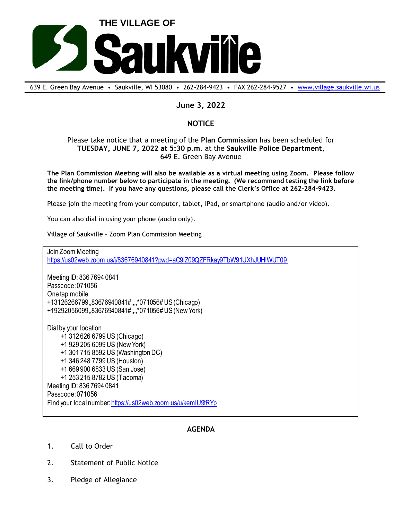

639 E. Green Bay Avenue • Saukville, WI 53080 • 262-284-9423 • FAX 262-284-9527 • [www.village.saukville.wi.us](http://www.village.saukville.wi.us/)

## **June 3, 2022**

## **NOTICE**

## Please take notice that a meeting of the **Plan Commission** has been scheduled for **TUESDAY, JUNE 7, 2022 at 5:30 p.m.** at the **Saukville Police Department**, 649 E. Green Bay Avenue

**The Plan Commission Meeting will also be available as a virtual meeting using Zoom. Please follow the link/phone number below to participate in the meeting. (We recommend testing the link before the meeting time). If you have any questions, please call the Clerk's Office at 262-284-9423.**

Please join the meeting from your computer, tablet, iPad, or smartphone (audio and/or video).

You can also dial in using your phone (audio only).

Village of Saukville – Zoom Plan Commission Meeting

Join Zoom Meeting https://us02web.zoom.us/j/83676940841?pwd=aC9iZ09QZFRkay9TbW91UXhJUHlWUT09

Meeting ID: 836 7694 0841 Passcode: 071056 One tap mobile +13126266799,,83676940841#,,,,\*071056# US (Chicago) +19292056099,,83676940841#,,,,\*071056# US (New York)

Dial by your location +1 312 626 6799 US (Chicago) +1 929 205 6099 US (New York) +1 301 715 8592 US (Washington DC) +1 346 248 7799 US (Houston) +1 669 900 6833 US (San Jose) +1 253 215 8782 US (Tacoma) Meeting ID: 836 7694 0841 Passcode: 071056 Find your local number: https://us02web.zoom.us/u/kemlU9tRYp

## **AGENDA**

- 1. Call to Order
- 2. Statement of Public Notice
- 3. Pledge of Allegiance